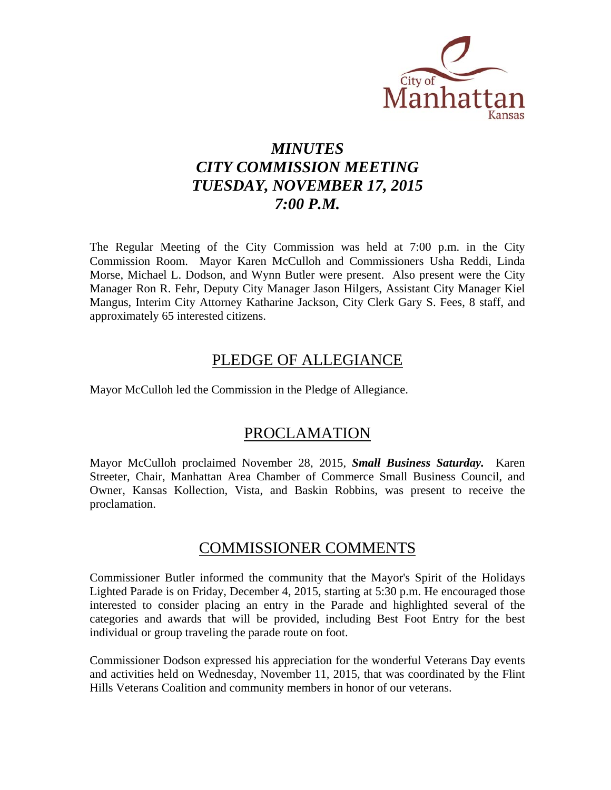

# *MINUTES CITY COMMISSION MEETING TUESDAY, NOVEMBER 17, 2015 7:00 P.M.*

The Regular Meeting of the City Commission was held at 7:00 p.m. in the City Commission Room. Mayor Karen McCulloh and Commissioners Usha Reddi, Linda Morse, Michael L. Dodson, and Wynn Butler were present. Also present were the City Manager Ron R. Fehr, Deputy City Manager Jason Hilgers, Assistant City Manager Kiel Mangus, Interim City Attorney Katharine Jackson, City Clerk Gary S. Fees, 8 staff, and approximately 65 interested citizens.

## PLEDGE OF ALLEGIANCE

Mayor McCulloh led the Commission in the Pledge of Allegiance.

## PROCLAMATION

Mayor McCulloh proclaimed November 28, 2015, *Small Business Saturday.* Karen Streeter, Chair, Manhattan Area Chamber of Commerce Small Business Council, and Owner, Kansas Kollection, Vista, and Baskin Robbins, was present to receive the proclamation.

## COMMISSIONER COMMENTS

Commissioner Butler informed the community that the Mayor's Spirit of the Holidays Lighted Parade is on Friday, December 4, 2015, starting at 5:30 p.m. He encouraged those interested to consider placing an entry in the Parade and highlighted several of the categories and awards that will be provided, including Best Foot Entry for the best individual or group traveling the parade route on foot.

Commissioner Dodson expressed his appreciation for the wonderful Veterans Day events and activities held on Wednesday, November 11, 2015, that was coordinated by the Flint Hills Veterans Coalition and community members in honor of our veterans.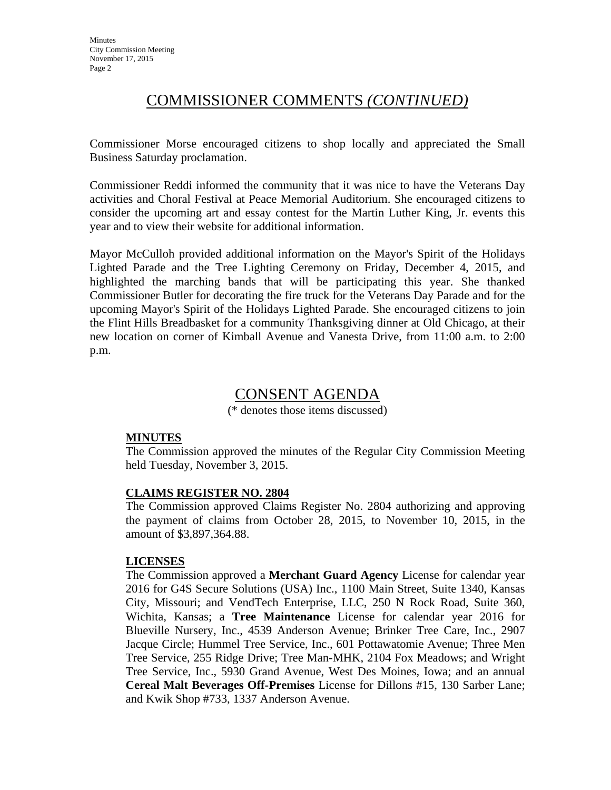## COMMISSIONER COMMENTS *(CONTINUED)*

Commissioner Morse encouraged citizens to shop locally and appreciated the Small Business Saturday proclamation.

Commissioner Reddi informed the community that it was nice to have the Veterans Day activities and Choral Festival at Peace Memorial Auditorium. She encouraged citizens to consider the upcoming art and essay contest for the Martin Luther King, Jr. events this year and to view their website for additional information.

Mayor McCulloh provided additional information on the Mayor's Spirit of the Holidays Lighted Parade and the Tree Lighting Ceremony on Friday, December 4, 2015, and highlighted the marching bands that will be participating this year. She thanked Commissioner Butler for decorating the fire truck for the Veterans Day Parade and for the upcoming Mayor's Spirit of the Holidays Lighted Parade. She encouraged citizens to join the Flint Hills Breadbasket for a community Thanksgiving dinner at Old Chicago, at their new location on corner of Kimball Avenue and Vanesta Drive, from 11:00 a.m. to 2:00 p.m.

## CONSENT AGENDA

(\* denotes those items discussed)

## **MINUTES**

The Commission approved the minutes of the Regular City Commission Meeting held Tuesday, November 3, 2015.

## **CLAIMS REGISTER NO. 2804**

The Commission approved Claims Register No. 2804 authorizing and approving the payment of claims from October 28, 2015, to November 10, 2015, in the amount of \$3,897,364.88.

## **LICENSES**

The Commission approved a **Merchant Guard Agency** License for calendar year 2016 for G4S Secure Solutions (USA) Inc., 1100 Main Street, Suite 1340, Kansas City, Missouri; and VendTech Enterprise, LLC, 250 N Rock Road, Suite 360, Wichita, Kansas; a **Tree Maintenance** License for calendar year 2016 for Blueville Nursery, Inc., 4539 Anderson Avenue; Brinker Tree Care, Inc., 2907 Jacque Circle; Hummel Tree Service, Inc., 601 Pottawatomie Avenue; Three Men Tree Service, 255 Ridge Drive; Tree Man-MHK, 2104 Fox Meadows; and Wright Tree Service, Inc., 5930 Grand Avenue, West Des Moines, Iowa; and an annual **Cereal Malt Beverages Off-Premises** License for Dillons #15, 130 Sarber Lane; and Kwik Shop #733, 1337 Anderson Avenue.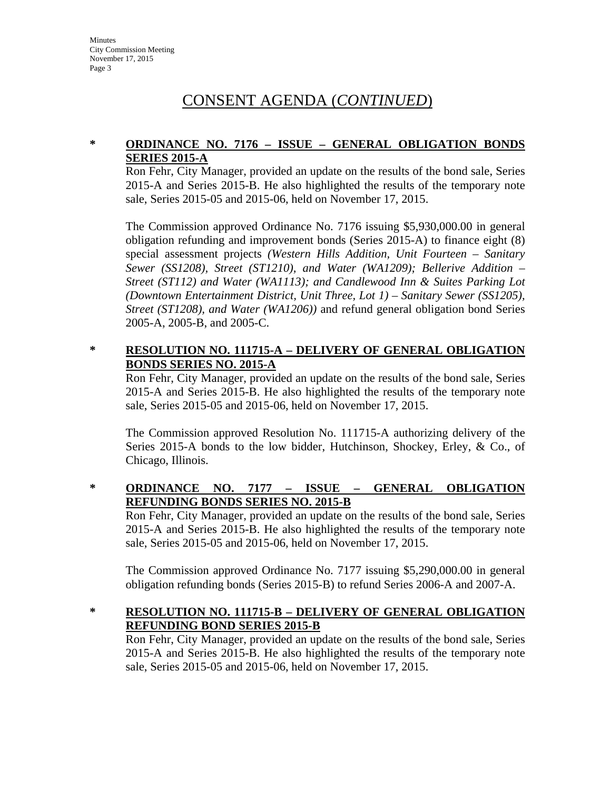## **\* ORDINANCE NO. 7176 – ISSUE – GENERAL OBLIGATION BONDS SERIES 2015-A**

Ron Fehr, City Manager, provided an update on the results of the bond sale, Series 2015-A and Series 2015-B. He also highlighted the results of the temporary note sale, Series 2015-05 and 2015-06, held on November 17, 2015.

The Commission approved Ordinance No. 7176 issuing \$5,930,000.00 in general obligation refunding and improvement bonds (Series 2015-A) to finance eight (8) special assessment projects *(Western Hills Addition, Unit Fourteen – Sanitary Sewer (SS1208), Street (ST1210), and Water (WA1209); Bellerive Addition – Street (ST112) and Water (WA1113); and Candlewood Inn & Suites Parking Lot (Downtown Entertainment District, Unit Three, Lot 1) – Sanitary Sewer (SS1205), Street (ST1208), and Water (WA1206))* and refund general obligation bond Series 2005-A, 2005-B, and 2005-C.

## **\* RESOLUTION NO. 111715-A – DELIVERY OF GENERAL OBLIGATION BONDS SERIES NO. 2015-A**

Ron Fehr, City Manager, provided an update on the results of the bond sale, Series 2015-A and Series 2015-B. He also highlighted the results of the temporary note sale, Series 2015-05 and 2015-06, held on November 17, 2015.

The Commission approved Resolution No. 111715-A authorizing delivery of the Series 2015-A bonds to the low bidder, Hutchinson, Shockey, Erley, & Co., of Chicago, Illinois.

## **\* ORDINANCE NO. 7177 – ISSUE – GENERAL OBLIGATION REFUNDING BONDS SERIES NO. 2015-B**

Ron Fehr, City Manager, provided an update on the results of the bond sale, Series 2015-A and Series 2015-B. He also highlighted the results of the temporary note sale, Series 2015-05 and 2015-06, held on November 17, 2015.

The Commission approved Ordinance No. 7177 issuing \$5,290,000.00 in general obligation refunding bonds (Series 2015-B) to refund Series 2006-A and 2007-A.

## **\* RESOLUTION NO. 111715-B – DELIVERY OF GENERAL OBLIGATION REFUNDING BOND SERIES 2015-B**

Ron Fehr, City Manager, provided an update on the results of the bond sale, Series 2015-A and Series 2015-B. He also highlighted the results of the temporary note sale, Series 2015-05 and 2015-06, held on November 17, 2015.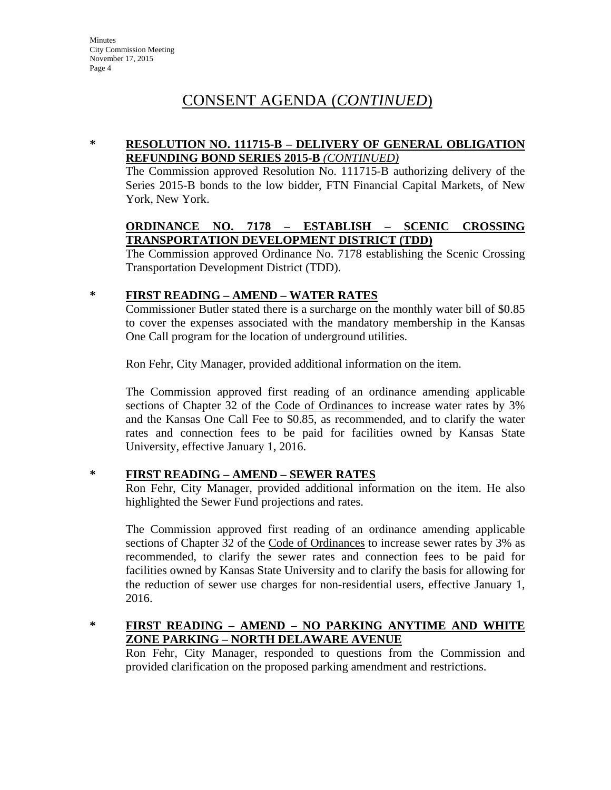## **\* RESOLUTION NO. 111715-B – DELIVERY OF GENERAL OBLIGATION REFUNDING BOND SERIES 2015-B** *(CONTINUED)*

The Commission approved Resolution No. 111715-B authorizing delivery of the Series 2015-B bonds to the low bidder, FTN Financial Capital Markets, of New York, New York.

### **ORDINANCE NO. 7178 – ESTABLISH – SCENIC CROSSING TRANSPORTATION DEVELOPMENT DISTRICT (TDD)**

The Commission approved Ordinance No. 7178 establishing the Scenic Crossing Transportation Development District (TDD).

## **\* FIRST READING – AMEND – WATER RATES**

Commissioner Butler stated there is a surcharge on the monthly water bill of \$0.85 to cover the expenses associated with the mandatory membership in the Kansas One Call program for the location of underground utilities.

Ron Fehr, City Manager, provided additional information on the item.

The Commission approved first reading of an ordinance amending applicable sections of Chapter 32 of the Code of Ordinances to increase water rates by 3% and the Kansas One Call Fee to \$0.85, as recommended, and to clarify the water rates and connection fees to be paid for facilities owned by Kansas State University, effective January 1, 2016.

## **\* FIRST READING – AMEND – SEWER RATES**

Ron Fehr, City Manager, provided additional information on the item. He also highlighted the Sewer Fund projections and rates.

The Commission approved first reading of an ordinance amending applicable sections of Chapter 32 of the Code of Ordinances to increase sewer rates by 3% as recommended, to clarify the sewer rates and connection fees to be paid for facilities owned by Kansas State University and to clarify the basis for allowing for the reduction of sewer use charges for non-residential users, effective January 1, 2016.

### **\* FIRST READING – AMEND – NO PARKING ANYTIME AND WHITE ZONE PARKING – NORTH DELAWARE AVENUE**

Ron Fehr, City Manager, responded to questions from the Commission and provided clarification on the proposed parking amendment and restrictions.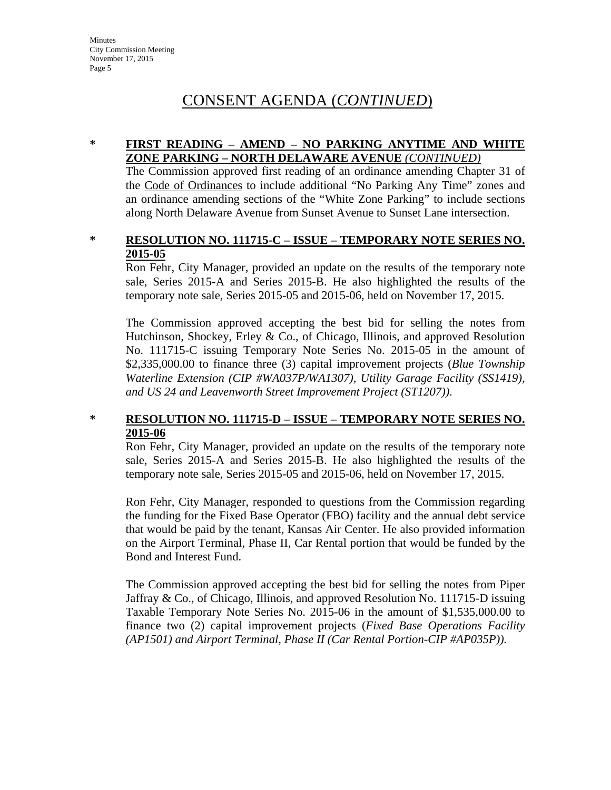### **\* FIRST READING – AMEND – NO PARKING ANYTIME AND WHITE ZONE PARKING – NORTH DELAWARE AVENUE** *(CONTINUED)*

The Commission approved first reading of an ordinance amending Chapter 31 of the Code of Ordinances to include additional "No Parking Any Time" zones and an ordinance amending sections of the "White Zone Parking" to include sections along North Delaware Avenue from Sunset Avenue to Sunset Lane intersection.

### **\* RESOLUTION NO. 111715-C – ISSUE – TEMPORARY NOTE SERIES NO. 2015-05**

Ron Fehr, City Manager, provided an update on the results of the temporary note sale, Series 2015-A and Series 2015-B. He also highlighted the results of the temporary note sale, Series 2015-05 and 2015-06, held on November 17, 2015.

The Commission approved accepting the best bid for selling the notes from Hutchinson, Shockey, Erley & Co., of Chicago, Illinois, and approved Resolution No. 111715-C issuing Temporary Note Series No. 2015-05 in the amount of \$2,335,000.00 to finance three (3) capital improvement projects (*Blue Township Waterline Extension (CIP #WA037P/WA1307), Utility Garage Facility (SS1419), and US 24 and Leavenworth Street Improvement Project (ST1207))*.

### **\* RESOLUTION NO. 111715-D – ISSUE – TEMPORARY NOTE SERIES NO. 2015-06**

Ron Fehr, City Manager, provided an update on the results of the temporary note sale, Series 2015-A and Series 2015-B. He also highlighted the results of the temporary note sale, Series 2015-05 and 2015-06, held on November 17, 2015.

Ron Fehr, City Manager, responded to questions from the Commission regarding the funding for the Fixed Base Operator (FBO) facility and the annual debt service that would be paid by the tenant, Kansas Air Center. He also provided information on the Airport Terminal, Phase II, Car Rental portion that would be funded by the Bond and Interest Fund.

The Commission approved accepting the best bid for selling the notes from Piper Jaffray & Co., of Chicago, Illinois, and approved Resolution No. 111715-D issuing Taxable Temporary Note Series No. 2015-06 in the amount of \$1,535,000.00 to finance two (2) capital improvement projects (*Fixed Base Operations Facility (AP1501) and Airport Terminal, Phase II (Car Rental Portion-CIP #AP035P)).*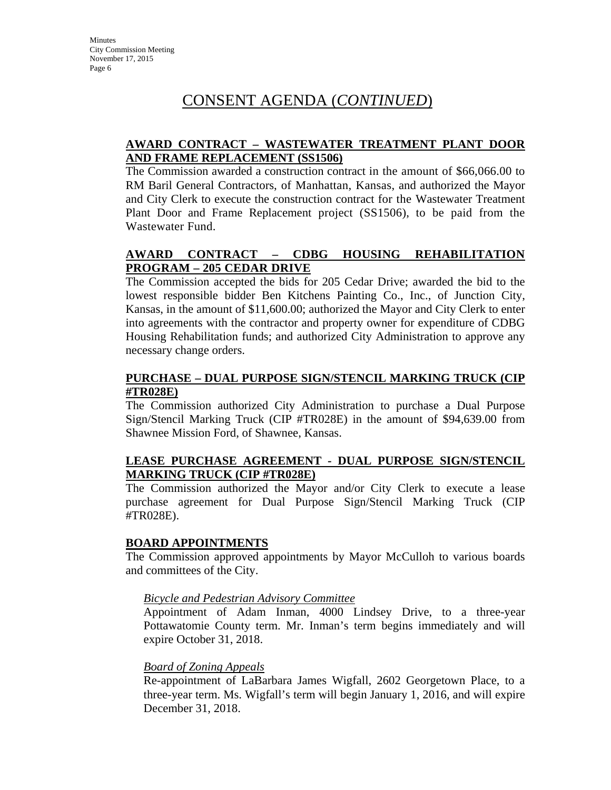## **AWARD CONTRACT – WASTEWATER TREATMENT PLANT DOOR AND FRAME REPLACEMENT (SS1506)**

The Commission awarded a construction contract in the amount of \$66,066.00 to RM Baril General Contractors, of Manhattan, Kansas, and authorized the Mayor and City Clerk to execute the construction contract for the Wastewater Treatment Plant Door and Frame Replacement project (SS1506), to be paid from the Wastewater Fund.

## **AWARD CONTRACT – CDBG HOUSING REHABILITATION PROGRAM – 205 CEDAR DRIVE**

The Commission accepted the bids for 205 Cedar Drive; awarded the bid to the lowest responsible bidder Ben Kitchens Painting Co., Inc., of Junction City, Kansas, in the amount of \$11,600.00; authorized the Mayor and City Clerk to enter into agreements with the contractor and property owner for expenditure of CDBG Housing Rehabilitation funds; and authorized City Administration to approve any necessary change orders.

## **PURCHASE – DUAL PURPOSE SIGN/STENCIL MARKING TRUCK (CIP #TR028E)**

The Commission authorized City Administration to purchase a Dual Purpose Sign/Stencil Marking Truck (CIP #TR028E) in the amount of \$94,639.00 from Shawnee Mission Ford, of Shawnee, Kansas.

## **LEASE PURCHASE AGREEMENT - DUAL PURPOSE SIGN/STENCIL MARKING TRUCK (CIP #TR028E)**

The Commission authorized the Mayor and/or City Clerk to execute a lease purchase agreement for Dual Purpose Sign/Stencil Marking Truck (CIP #TR028E).

## **BOARD APPOINTMENTS**

The Commission approved appointments by Mayor McCulloh to various boards and committees of the City.

## *Bicycle and Pedestrian Advisory Committee*

Appointment of Adam Inman, 4000 Lindsey Drive, to a three-year Pottawatomie County term. Mr. Inman's term begins immediately and will expire October 31, 2018.

## *Board of Zoning Appeals*

Re-appointment of LaBarbara James Wigfall, 2602 Georgetown Place, to a three-year term. Ms. Wigfall's term will begin January 1, 2016, and will expire December 31, 2018.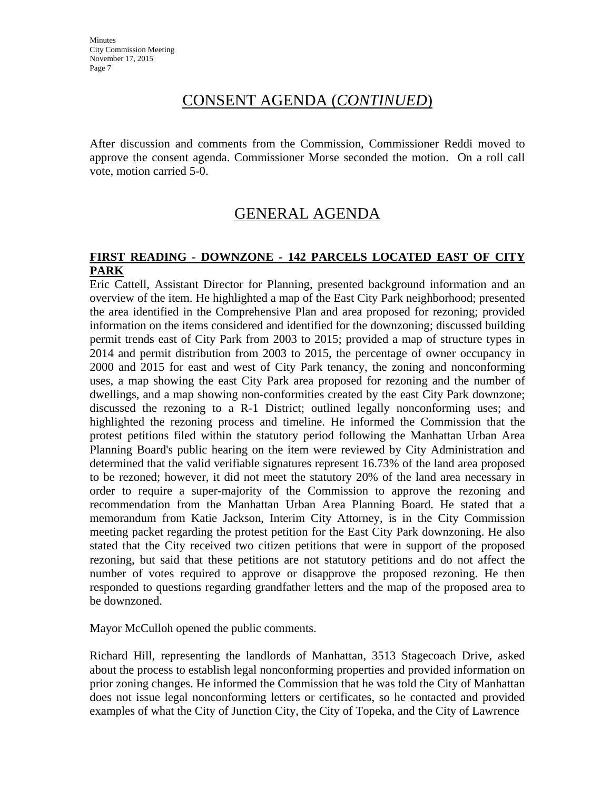After discussion and comments from the Commission, Commissioner Reddi moved to approve the consent agenda. Commissioner Morse seconded the motion. On a roll call vote, motion carried 5-0.

## GENERAL AGENDA

### **FIRST READING - DOWNZONE - 142 PARCELS LOCATED EAST OF CITY PARK**

Eric Cattell, Assistant Director for Planning, presented background information and an overview of the item. He highlighted a map of the East City Park neighborhood; presented the area identified in the Comprehensive Plan and area proposed for rezoning; provided information on the items considered and identified for the downzoning; discussed building permit trends east of City Park from 2003 to 2015; provided a map of structure types in 2014 and permit distribution from 2003 to 2015, the percentage of owner occupancy in 2000 and 2015 for east and west of City Park tenancy, the zoning and nonconforming uses, a map showing the east City Park area proposed for rezoning and the number of dwellings, and a map showing non-conformities created by the east City Park downzone; discussed the rezoning to a R-1 District; outlined legally nonconforming uses; and highlighted the rezoning process and timeline. He informed the Commission that the protest petitions filed within the statutory period following the Manhattan Urban Area Planning Board's public hearing on the item were reviewed by City Administration and determined that the valid verifiable signatures represent 16.73% of the land area proposed to be rezoned; however, it did not meet the statutory 20% of the land area necessary in order to require a super-majority of the Commission to approve the rezoning and recommendation from the Manhattan Urban Area Planning Board. He stated that a memorandum from Katie Jackson, Interim City Attorney, is in the City Commission meeting packet regarding the protest petition for the East City Park downzoning. He also stated that the City received two citizen petitions that were in support of the proposed rezoning, but said that these petitions are not statutory petitions and do not affect the number of votes required to approve or disapprove the proposed rezoning. He then responded to questions regarding grandfather letters and the map of the proposed area to be downzoned.

Mayor McCulloh opened the public comments.

Richard Hill, representing the landlords of Manhattan, 3513 Stagecoach Drive, asked about the process to establish legal nonconforming properties and provided information on prior zoning changes. He informed the Commission that he was told the City of Manhattan does not issue legal nonconforming letters or certificates, so he contacted and provided examples of what the City of Junction City, the City of Topeka, and the City of Lawrence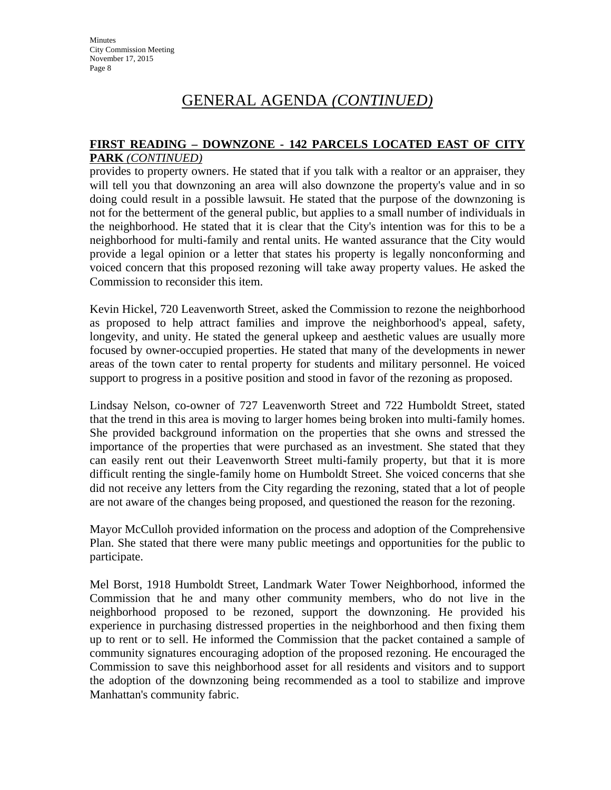#### **FIRST READING – DOWNZONE - 142 PARCELS LOCATED EAST OF CITY PARK** *(CONTINUED)*

provides to property owners. He stated that if you talk with a realtor or an appraiser, they will tell you that downzoning an area will also downzone the property's value and in so doing could result in a possible lawsuit. He stated that the purpose of the downzoning is not for the betterment of the general public, but applies to a small number of individuals in the neighborhood. He stated that it is clear that the City's intention was for this to be a neighborhood for multi-family and rental units. He wanted assurance that the City would provide a legal opinion or a letter that states his property is legally nonconforming and voiced concern that this proposed rezoning will take away property values. He asked the Commission to reconsider this item.

Kevin Hickel, 720 Leavenworth Street, asked the Commission to rezone the neighborhood as proposed to help attract families and improve the neighborhood's appeal, safety, longevity, and unity. He stated the general upkeep and aesthetic values are usually more focused by owner-occupied properties. He stated that many of the developments in newer areas of the town cater to rental property for students and military personnel. He voiced support to progress in a positive position and stood in favor of the rezoning as proposed.

Lindsay Nelson, co-owner of 727 Leavenworth Street and 722 Humboldt Street, stated that the trend in this area is moving to larger homes being broken into multi-family homes. She provided background information on the properties that she owns and stressed the importance of the properties that were purchased as an investment. She stated that they can easily rent out their Leavenworth Street multi-family property, but that it is more difficult renting the single-family home on Humboldt Street. She voiced concerns that she did not receive any letters from the City regarding the rezoning, stated that a lot of people are not aware of the changes being proposed, and questioned the reason for the rezoning.

Mayor McCulloh provided information on the process and adoption of the Comprehensive Plan. She stated that there were many public meetings and opportunities for the public to participate.

Mel Borst, 1918 Humboldt Street, Landmark Water Tower Neighborhood, informed the Commission that he and many other community members, who do not live in the neighborhood proposed to be rezoned, support the downzoning. He provided his experience in purchasing distressed properties in the neighborhood and then fixing them up to rent or to sell. He informed the Commission that the packet contained a sample of community signatures encouraging adoption of the proposed rezoning. He encouraged the Commission to save this neighborhood asset for all residents and visitors and to support the adoption of the downzoning being recommended as a tool to stabilize and improve Manhattan's community fabric.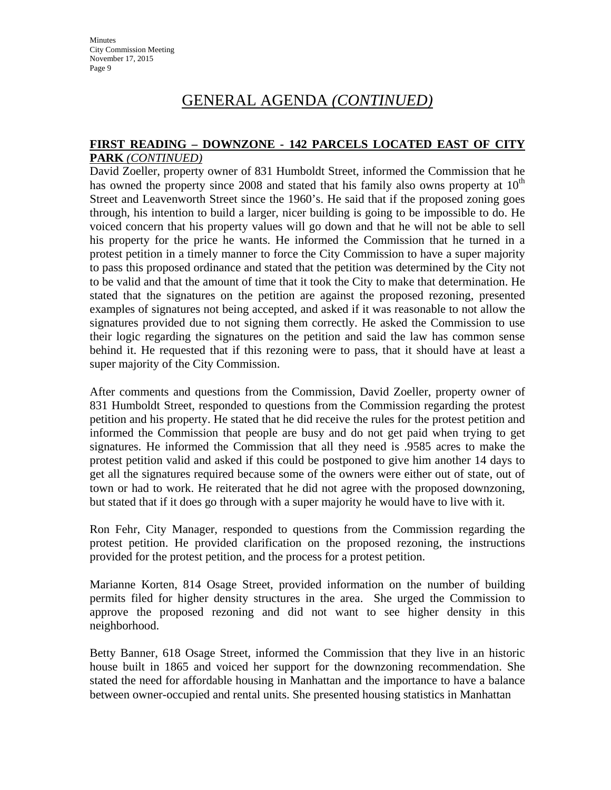#### **FIRST READING – DOWNZONE - 142 PARCELS LOCATED EAST OF CITY PARK** *(CONTINUED)*

David Zoeller, property owner of 831 Humboldt Street, informed the Commission that he has owned the property since 2008 and stated that his family also owns property at  $10<sup>th</sup>$ Street and Leavenworth Street since the 1960's. He said that if the proposed zoning goes through, his intention to build a larger, nicer building is going to be impossible to do. He voiced concern that his property values will go down and that he will not be able to sell his property for the price he wants. He informed the Commission that he turned in a protest petition in a timely manner to force the City Commission to have a super majority to pass this proposed ordinance and stated that the petition was determined by the City not to be valid and that the amount of time that it took the City to make that determination. He stated that the signatures on the petition are against the proposed rezoning, presented examples of signatures not being accepted, and asked if it was reasonable to not allow the signatures provided due to not signing them correctly. He asked the Commission to use their logic regarding the signatures on the petition and said the law has common sense behind it. He requested that if this rezoning were to pass, that it should have at least a super majority of the City Commission.

After comments and questions from the Commission, David Zoeller, property owner of 831 Humboldt Street, responded to questions from the Commission regarding the protest petition and his property. He stated that he did receive the rules for the protest petition and informed the Commission that people are busy and do not get paid when trying to get signatures. He informed the Commission that all they need is .9585 acres to make the protest petition valid and asked if this could be postponed to give him another 14 days to get all the signatures required because some of the owners were either out of state, out of town or had to work. He reiterated that he did not agree with the proposed downzoning, but stated that if it does go through with a super majority he would have to live with it.

Ron Fehr, City Manager, responded to questions from the Commission regarding the protest petition. He provided clarification on the proposed rezoning, the instructions provided for the protest petition, and the process for a protest petition.

Marianne Korten, 814 Osage Street, provided information on the number of building permits filed for higher density structures in the area. She urged the Commission to approve the proposed rezoning and did not want to see higher density in this neighborhood.

Betty Banner, 618 Osage Street, informed the Commission that they live in an historic house built in 1865 and voiced her support for the downzoning recommendation. She stated the need for affordable housing in Manhattan and the importance to have a balance between owner-occupied and rental units. She presented housing statistics in Manhattan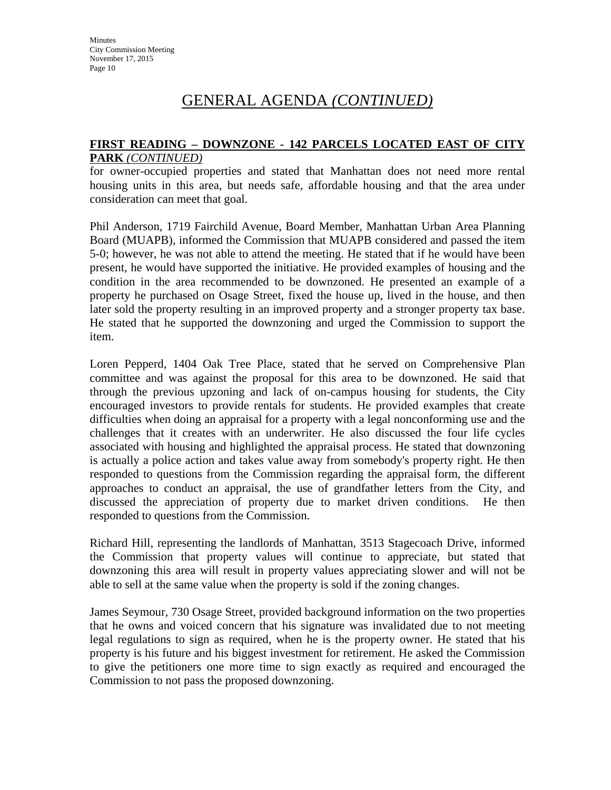### **FIRST READING – DOWNZONE - 142 PARCELS LOCATED EAST OF CITY PARK** *(CONTINUED)*

for owner-occupied properties and stated that Manhattan does not need more rental housing units in this area, but needs safe, affordable housing and that the area under consideration can meet that goal.

Phil Anderson, 1719 Fairchild Avenue, Board Member, Manhattan Urban Area Planning Board (MUAPB), informed the Commission that MUAPB considered and passed the item 5-0; however, he was not able to attend the meeting. He stated that if he would have been present, he would have supported the initiative. He provided examples of housing and the condition in the area recommended to be downzoned. He presented an example of a property he purchased on Osage Street, fixed the house up, lived in the house, and then later sold the property resulting in an improved property and a stronger property tax base. He stated that he supported the downzoning and urged the Commission to support the item.

Loren Pepperd, 1404 Oak Tree Place, stated that he served on Comprehensive Plan committee and was against the proposal for this area to be downzoned. He said that through the previous upzoning and lack of on-campus housing for students, the City encouraged investors to provide rentals for students. He provided examples that create difficulties when doing an appraisal for a property with a legal nonconforming use and the challenges that it creates with an underwriter. He also discussed the four life cycles associated with housing and highlighted the appraisal process. He stated that downzoning is actually a police action and takes value away from somebody's property right. He then responded to questions from the Commission regarding the appraisal form, the different approaches to conduct an appraisal, the use of grandfather letters from the City, and discussed the appreciation of property due to market driven conditions. He then responded to questions from the Commission.

Richard Hill, representing the landlords of Manhattan, 3513 Stagecoach Drive, informed the Commission that property values will continue to appreciate, but stated that downzoning this area will result in property values appreciating slower and will not be able to sell at the same value when the property is sold if the zoning changes.

James Seymour, 730 Osage Street, provided background information on the two properties that he owns and voiced concern that his signature was invalidated due to not meeting legal regulations to sign as required, when he is the property owner. He stated that his property is his future and his biggest investment for retirement. He asked the Commission to give the petitioners one more time to sign exactly as required and encouraged the Commission to not pass the proposed downzoning.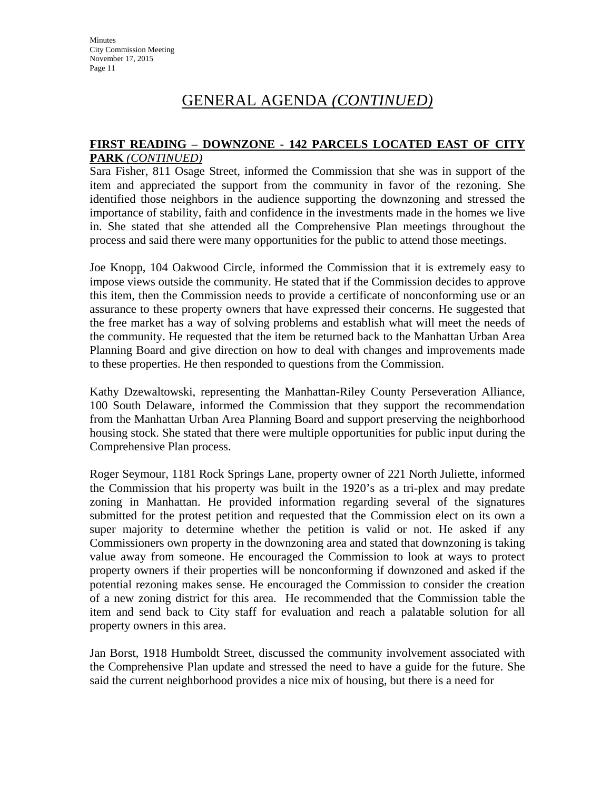#### **FIRST READING – DOWNZONE - 142 PARCELS LOCATED EAST OF CITY PARK** *(CONTINUED)*

Sara Fisher, 811 Osage Street, informed the Commission that she was in support of the item and appreciated the support from the community in favor of the rezoning. She identified those neighbors in the audience supporting the downzoning and stressed the importance of stability, faith and confidence in the investments made in the homes we live in. She stated that she attended all the Comprehensive Plan meetings throughout the process and said there were many opportunities for the public to attend those meetings.

Joe Knopp, 104 Oakwood Circle, informed the Commission that it is extremely easy to impose views outside the community. He stated that if the Commission decides to approve this item, then the Commission needs to provide a certificate of nonconforming use or an assurance to these property owners that have expressed their concerns. He suggested that the free market has a way of solving problems and establish what will meet the needs of the community. He requested that the item be returned back to the Manhattan Urban Area Planning Board and give direction on how to deal with changes and improvements made to these properties. He then responded to questions from the Commission.

Kathy Dzewaltowski, representing the Manhattan-Riley County Perseveration Alliance, 100 South Delaware, informed the Commission that they support the recommendation from the Manhattan Urban Area Planning Board and support preserving the neighborhood housing stock. She stated that there were multiple opportunities for public input during the Comprehensive Plan process.

Roger Seymour, 1181 Rock Springs Lane, property owner of 221 North Juliette, informed the Commission that his property was built in the 1920's as a tri-plex and may predate zoning in Manhattan. He provided information regarding several of the signatures submitted for the protest petition and requested that the Commission elect on its own a super majority to determine whether the petition is valid or not. He asked if any Commissioners own property in the downzoning area and stated that downzoning is taking value away from someone. He encouraged the Commission to look at ways to protect property owners if their properties will be nonconforming if downzoned and asked if the potential rezoning makes sense. He encouraged the Commission to consider the creation of a new zoning district for this area. He recommended that the Commission table the item and send back to City staff for evaluation and reach a palatable solution for all property owners in this area.

Jan Borst, 1918 Humboldt Street, discussed the community involvement associated with the Comprehensive Plan update and stressed the need to have a guide for the future. She said the current neighborhood provides a nice mix of housing, but there is a need for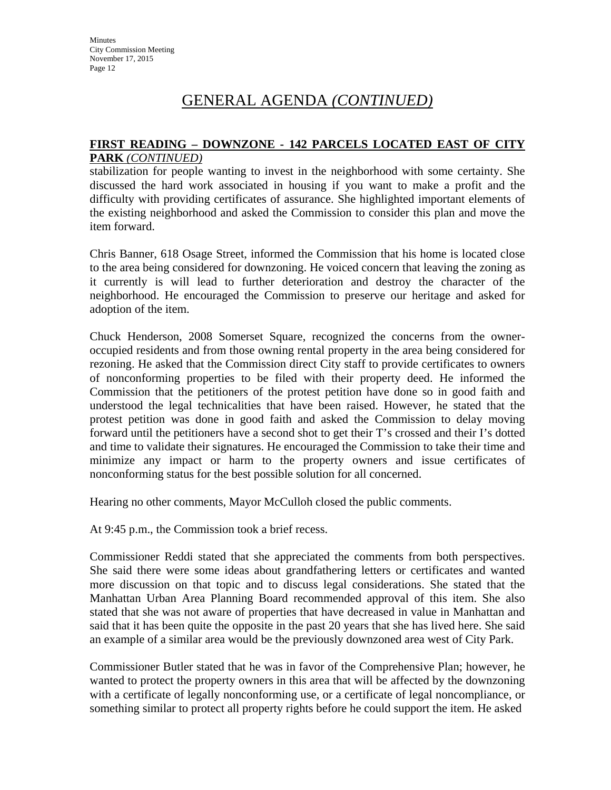#### **FIRST READING – DOWNZONE - 142 PARCELS LOCATED EAST OF CITY PARK** *(CONTINUED)*

stabilization for people wanting to invest in the neighborhood with some certainty. She discussed the hard work associated in housing if you want to make a profit and the difficulty with providing certificates of assurance. She highlighted important elements of the existing neighborhood and asked the Commission to consider this plan and move the item forward.

Chris Banner, 618 Osage Street, informed the Commission that his home is located close to the area being considered for downzoning. He voiced concern that leaving the zoning as it currently is will lead to further deterioration and destroy the character of the neighborhood. He encouraged the Commission to preserve our heritage and asked for adoption of the item.

Chuck Henderson, 2008 Somerset Square, recognized the concerns from the owneroccupied residents and from those owning rental property in the area being considered for rezoning. He asked that the Commission direct City staff to provide certificates to owners of nonconforming properties to be filed with their property deed. He informed the Commission that the petitioners of the protest petition have done so in good faith and understood the legal technicalities that have been raised. However, he stated that the protest petition was done in good faith and asked the Commission to delay moving forward until the petitioners have a second shot to get their T's crossed and their I's dotted and time to validate their signatures. He encouraged the Commission to take their time and minimize any impact or harm to the property owners and issue certificates of nonconforming status for the best possible solution for all concerned.

Hearing no other comments, Mayor McCulloh closed the public comments.

At 9:45 p.m., the Commission took a brief recess.

Commissioner Reddi stated that she appreciated the comments from both perspectives. She said there were some ideas about grandfathering letters or certificates and wanted more discussion on that topic and to discuss legal considerations. She stated that the Manhattan Urban Area Planning Board recommended approval of this item. She also stated that she was not aware of properties that have decreased in value in Manhattan and said that it has been quite the opposite in the past 20 years that she has lived here. She said an example of a similar area would be the previously downzoned area west of City Park.

Commissioner Butler stated that he was in favor of the Comprehensive Plan; however, he wanted to protect the property owners in this area that will be affected by the downzoning with a certificate of legally nonconforming use, or a certificate of legal noncompliance, or something similar to protect all property rights before he could support the item. He asked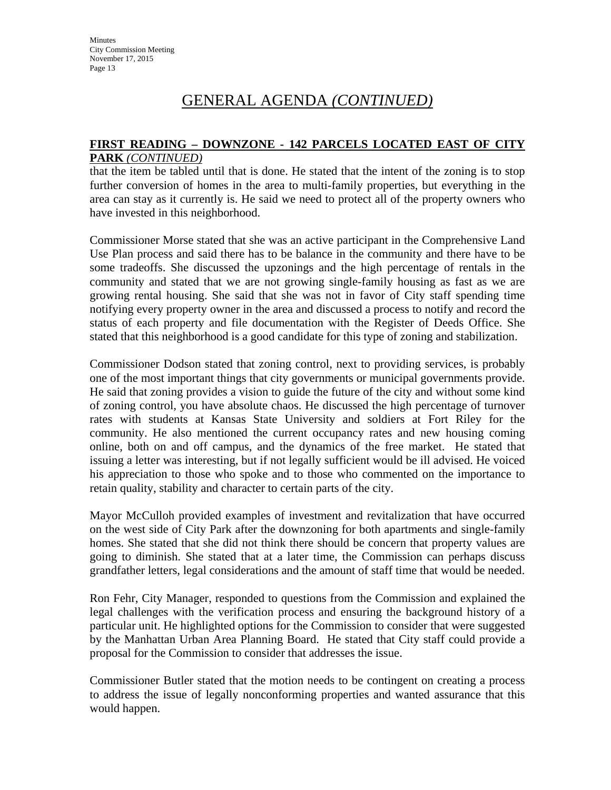### **FIRST READING – DOWNZONE - 142 PARCELS LOCATED EAST OF CITY PARK** *(CONTINUED)*

that the item be tabled until that is done. He stated that the intent of the zoning is to stop further conversion of homes in the area to multi-family properties, but everything in the area can stay as it currently is. He said we need to protect all of the property owners who have invested in this neighborhood.

Commissioner Morse stated that she was an active participant in the Comprehensive Land Use Plan process and said there has to be balance in the community and there have to be some tradeoffs. She discussed the upzonings and the high percentage of rentals in the community and stated that we are not growing single-family housing as fast as we are growing rental housing. She said that she was not in favor of City staff spending time notifying every property owner in the area and discussed a process to notify and record the status of each property and file documentation with the Register of Deeds Office. She stated that this neighborhood is a good candidate for this type of zoning and stabilization.

Commissioner Dodson stated that zoning control, next to providing services, is probably one of the most important things that city governments or municipal governments provide. He said that zoning provides a vision to guide the future of the city and without some kind of zoning control, you have absolute chaos. He discussed the high percentage of turnover rates with students at Kansas State University and soldiers at Fort Riley for the community. He also mentioned the current occupancy rates and new housing coming online, both on and off campus, and the dynamics of the free market. He stated that issuing a letter was interesting, but if not legally sufficient would be ill advised. He voiced his appreciation to those who spoke and to those who commented on the importance to retain quality, stability and character to certain parts of the city.

Mayor McCulloh provided examples of investment and revitalization that have occurred on the west side of City Park after the downzoning for both apartments and single-family homes. She stated that she did not think there should be concern that property values are going to diminish. She stated that at a later time, the Commission can perhaps discuss grandfather letters, legal considerations and the amount of staff time that would be needed.

Ron Fehr, City Manager, responded to questions from the Commission and explained the legal challenges with the verification process and ensuring the background history of a particular unit. He highlighted options for the Commission to consider that were suggested by the Manhattan Urban Area Planning Board. He stated that City staff could provide a proposal for the Commission to consider that addresses the issue.

Commissioner Butler stated that the motion needs to be contingent on creating a process to address the issue of legally nonconforming properties and wanted assurance that this would happen.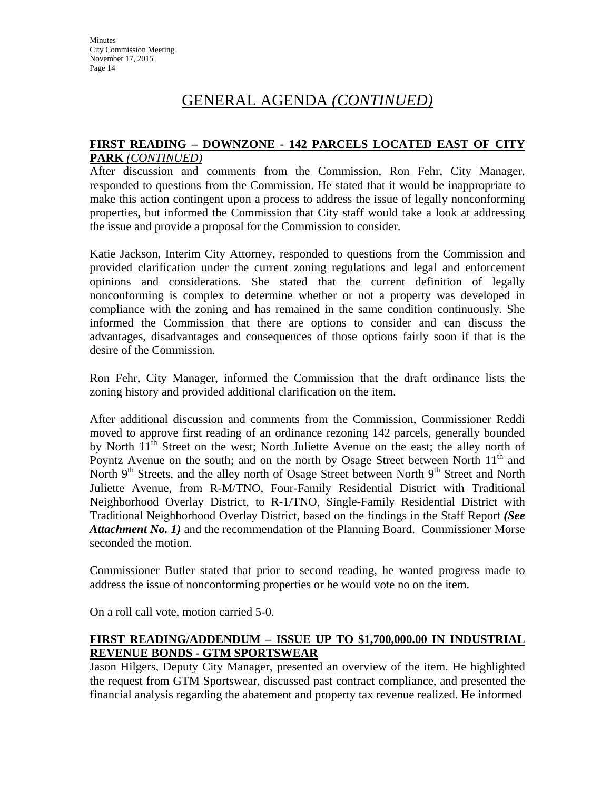### **FIRST READING – DOWNZONE - 142 PARCELS LOCATED EAST OF CITY PARK** *(CONTINUED)*

After discussion and comments from the Commission, Ron Fehr, City Manager, responded to questions from the Commission. He stated that it would be inappropriate to make this action contingent upon a process to address the issue of legally nonconforming properties, but informed the Commission that City staff would take a look at addressing the issue and provide a proposal for the Commission to consider.

Katie Jackson, Interim City Attorney, responded to questions from the Commission and provided clarification under the current zoning regulations and legal and enforcement opinions and considerations. She stated that the current definition of legally nonconforming is complex to determine whether or not a property was developed in compliance with the zoning and has remained in the same condition continuously. She informed the Commission that there are options to consider and can discuss the advantages, disadvantages and consequences of those options fairly soon if that is the desire of the Commission.

Ron Fehr, City Manager, informed the Commission that the draft ordinance lists the zoning history and provided additional clarification on the item.

After additional discussion and comments from the Commission, Commissioner Reddi moved to approve first reading of an ordinance rezoning 142 parcels, generally bounded by North  $11<sup>th</sup>$  Street on the west; North Juliette Avenue on the east; the alley north of Poyntz Avenue on the south; and on the north by Osage Street between North  $11<sup>th</sup>$  and North  $9<sup>th</sup>$  Streets, and the alley north of Osage Street between North  $9<sup>th</sup>$  Street and North Juliette Avenue, from R-M/TNO, Four-Family Residential District with Traditional Neighborhood Overlay District, to R-1/TNO, Single-Family Residential District with Traditional Neighborhood Overlay District, based on the findings in the Staff Report *(See Attachment No. 1)* and the recommendation of the Planning Board. Commissioner Morse seconded the motion.

Commissioner Butler stated that prior to second reading, he wanted progress made to address the issue of nonconforming properties or he would vote no on the item.

On a roll call vote, motion carried 5-0.

## **FIRST READING/ADDENDUM – ISSUE UP TO \$1,700,000.00 IN INDUSTRIAL REVENUE BONDS - GTM SPORTSWEAR**

Jason Hilgers, Deputy City Manager, presented an overview of the item. He highlighted the request from GTM Sportswear, discussed past contract compliance, and presented the financial analysis regarding the abatement and property tax revenue realized. He informed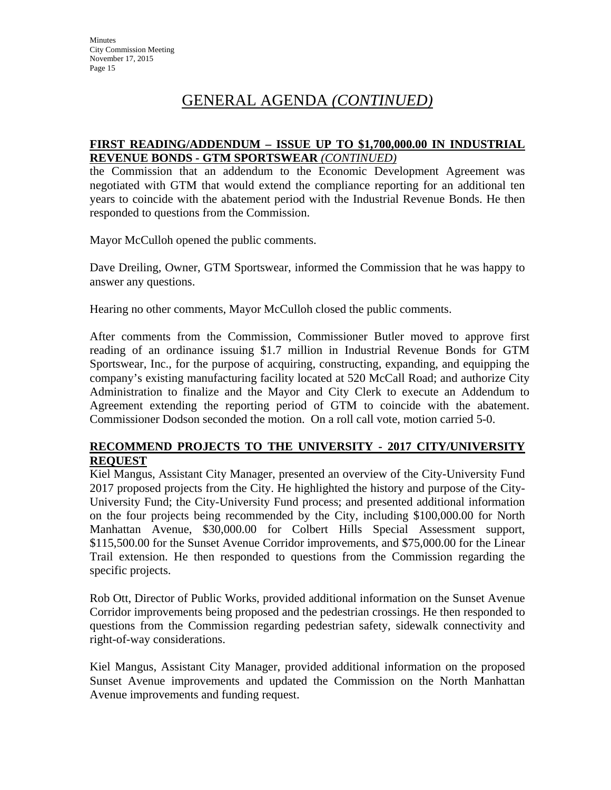### **FIRST READING/ADDENDUM – ISSUE UP TO \$1,700,000.00 IN INDUSTRIAL REVENUE BONDS - GTM SPORTSWEAR** *(CONTINUED)*

the Commission that an addendum to the Economic Development Agreement was negotiated with GTM that would extend the compliance reporting for an additional ten years to coincide with the abatement period with the Industrial Revenue Bonds. He then responded to questions from the Commission.

Mayor McCulloh opened the public comments.

Dave Dreiling, Owner, GTM Sportswear, informed the Commission that he was happy to answer any questions.

Hearing no other comments, Mayor McCulloh closed the public comments.

After comments from the Commission, Commissioner Butler moved to approve first reading of an ordinance issuing \$1.7 million in Industrial Revenue Bonds for GTM Sportswear, Inc., for the purpose of acquiring, constructing, expanding, and equipping the company's existing manufacturing facility located at 520 McCall Road; and authorize City Administration to finalize and the Mayor and City Clerk to execute an Addendum to Agreement extending the reporting period of GTM to coincide with the abatement. Commissioner Dodson seconded the motion. On a roll call vote, motion carried 5-0.

## **RECOMMEND PROJECTS TO THE UNIVERSITY - 2017 CITY/UNIVERSITY REQUEST**

Kiel Mangus, Assistant City Manager, presented an overview of the City-University Fund 2017 proposed projects from the City. He highlighted the history and purpose of the City-University Fund; the City-University Fund process; and presented additional information on the four projects being recommended by the City, including \$100,000.00 for North Manhattan Avenue, \$30,000.00 for Colbert Hills Special Assessment support, \$115,500.00 for the Sunset Avenue Corridor improvements, and \$75,000.00 for the Linear Trail extension. He then responded to questions from the Commission regarding the specific projects.

Rob Ott, Director of Public Works, provided additional information on the Sunset Avenue Corridor improvements being proposed and the pedestrian crossings. He then responded to questions from the Commission regarding pedestrian safety, sidewalk connectivity and right-of-way considerations.

Kiel Mangus, Assistant City Manager, provided additional information on the proposed Sunset Avenue improvements and updated the Commission on the North Manhattan Avenue improvements and funding request.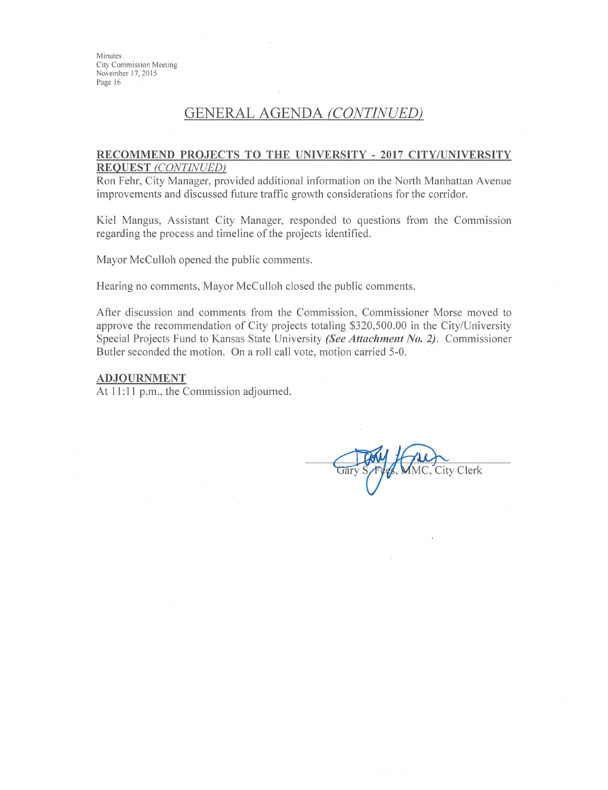Minutes City Commission Meeting November 17, 2015 Page 16

## GENERAL AGENDA (CONTINUED)

#### RECOMMEND PROJECTS TO THE UNIVERSITY - 2017 CITY/UNIVERSITY **REQUEST (CONTINUED)**

Ron Fehr, City Manager, provided additional information on the North Manhattan Avenue improvements and discussed future traffic growth considerations for the corridor.

Kiel Mangus, Assistant City Manager, responded to questions from the Commission regarding the process and timeline of the projects identified.

Mayor McCulloh opened the public comments.

Hearing no comments, Mayor McCulloh closed the public comments.

After discussion and comments from the Commission, Commissioner Morse moved to approve the recommendation of City projects totaling \$320,500.00 in the City/University Special Projects Fund to Kansas State University (See Attachment No. 2). Commissioner Butler seconded the motion. On a roll call vote, motion carried 5-0.

#### **ADJOURNMENT**

At 11:11 p.m., the Commission adjourned.

City Clerk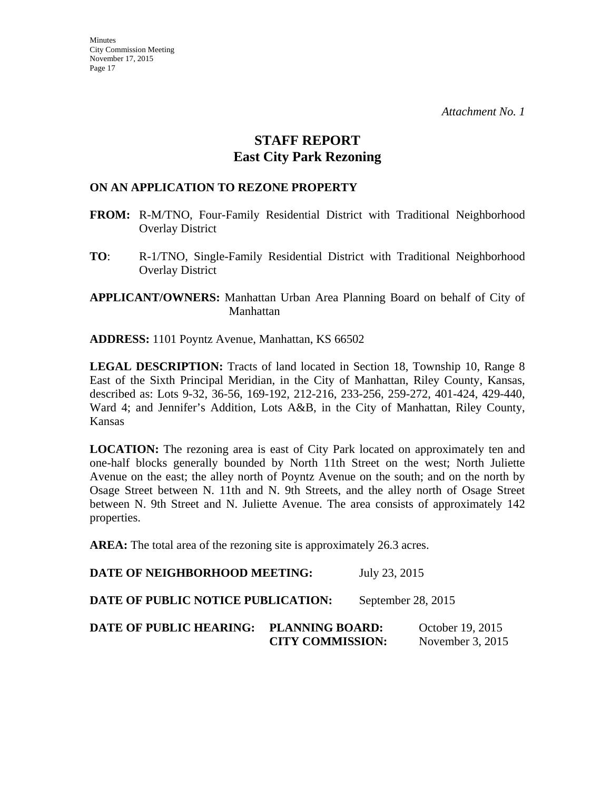## **STAFF REPORT East City Park Rezoning**

### **ON AN APPLICATION TO REZONE PROPERTY**

- **FROM:** R-M/TNO, Four-Family Residential District with Traditional Neighborhood Overlay District
- **TO**: R-1/TNO, Single-Family Residential District with Traditional Neighborhood Overlay District

**APPLICANT/OWNERS:** Manhattan Urban Area Planning Board on behalf of City of Manhattan

**ADDRESS:** 1101 Poyntz Avenue, Manhattan, KS 66502

LEGAL DESCRIPTION: Tracts of land located in Section 18, Township 10, Range 8 East of the Sixth Principal Meridian, in the City of Manhattan, Riley County, Kansas, described as: Lots 9-32, 36-56, 169-192, 212-216, 233-256, 259-272, 401-424, 429-440, Ward 4; and Jennifer's Addition, Lots A&B, in the City of Manhattan, Riley County, Kansas

**LOCATION:** The rezoning area is east of City Park located on approximately ten and one-half blocks generally bounded by North 11th Street on the west; North Juliette Avenue on the east; the alley north of Poyntz Avenue on the south; and on the north by Osage Street between N. 11th and N. 9th Streets, and the alley north of Osage Street between N. 9th Street and N. Juliette Avenue. The area consists of approximately 142 properties.

**AREA:** The total area of the rezoning site is approximately 26.3 acres.

**DATE OF NEIGHBORHOOD MEETING:** July 23, 2015 **DATE OF PUBLIC NOTICE PUBLICATION:** September 28, 2015 **DATE OF PUBLIC HEARING: PLANNING BOARD:** October 19, 2015 **CITY COMMISSION:** November 3, 2015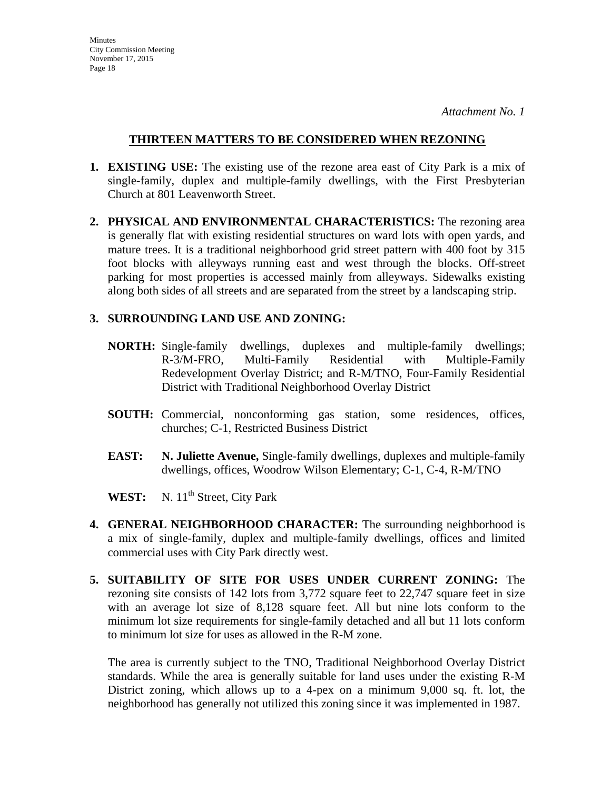### **THIRTEEN MATTERS TO BE CONSIDERED WHEN REZONING**

- **1. EXISTING USE:** The existing use of the rezone area east of City Park is a mix of single-family, duplex and multiple-family dwellings, with the First Presbyterian Church at 801 Leavenworth Street.
- **2. PHYSICAL AND ENVIRONMENTAL CHARACTERISTICS:** The rezoning area is generally flat with existing residential structures on ward lots with open yards, and mature trees. It is a traditional neighborhood grid street pattern with 400 foot by 315 foot blocks with alleyways running east and west through the blocks. Off-street parking for most properties is accessed mainly from alleyways. Sidewalks existing along both sides of all streets and are separated from the street by a landscaping strip.

### **3. SURROUNDING LAND USE AND ZONING:**

- **NORTH:** Single-family dwellings, duplexes and multiple-family dwellings; R-3/M-FRO, Multi-Family Residential with Multiple-Family Redevelopment Overlay District; and R-M/TNO, Four-Family Residential District with Traditional Neighborhood Overlay District
- **SOUTH:** Commercial, nonconforming gas station, some residences, offices, churches; C-1, Restricted Business District
- **EAST: N. Juliette Avenue,** Single-family dwellings, duplexes and multiple-family dwellings, offices, Woodrow Wilson Elementary; C-1, C-4, R-M/TNO

WEST: N. 11<sup>th</sup> Street, City Park

- **4. GENERAL NEIGHBORHOOD CHARACTER:** The surrounding neighborhood is a mix of single-family, duplex and multiple-family dwellings, offices and limited commercial uses with City Park directly west.
- **5. SUITABILITY OF SITE FOR USES UNDER CURRENT ZONING:** The rezoning site consists of 142 lots from 3,772 square feet to 22,747 square feet in size with an average lot size of 8,128 square feet. All but nine lots conform to the minimum lot size requirements for single-family detached and all but 11 lots conform to minimum lot size for uses as allowed in the R-M zone.

The area is currently subject to the TNO, Traditional Neighborhood Overlay District standards. While the area is generally suitable for land uses under the existing R-M District zoning, which allows up to a 4-pex on a minimum 9,000 sq. ft. lot, the neighborhood has generally not utilized this zoning since it was implemented in 1987.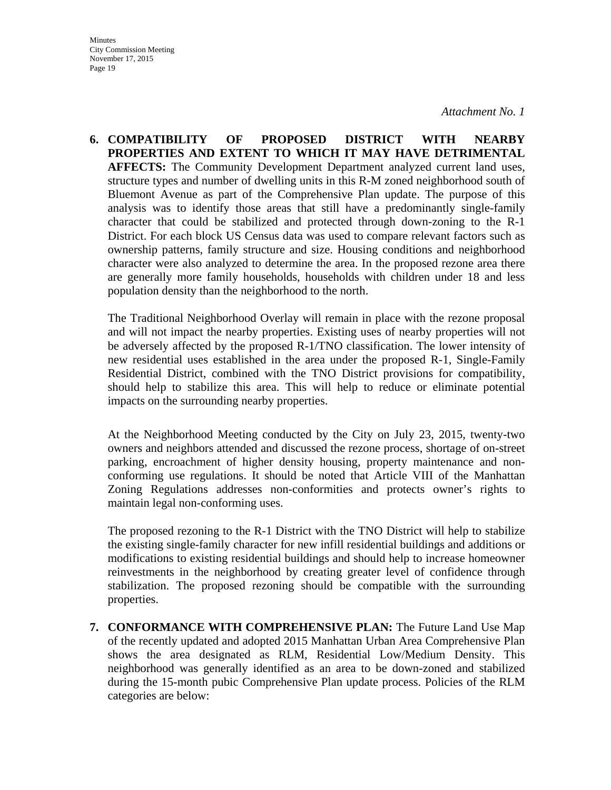**Minutes** City Commission Meeting November 17, 2015 Page 19

*Attachment No. 1* 

**6. COMPATIBILITY OF PROPOSED DISTRICT WITH NEARBY PROPERTIES AND EXTENT TO WHICH IT MAY HAVE DETRIMENTAL AFFECTS:** The Community Development Department analyzed current land uses, structure types and number of dwelling units in this R-M zoned neighborhood south of Bluemont Avenue as part of the Comprehensive Plan update. The purpose of this analysis was to identify those areas that still have a predominantly single-family character that could be stabilized and protected through down-zoning to the R-1 District. For each block US Census data was used to compare relevant factors such as ownership patterns, family structure and size. Housing conditions and neighborhood character were also analyzed to determine the area. In the proposed rezone area there are generally more family households, households with children under 18 and less population density than the neighborhood to the north.

The Traditional Neighborhood Overlay will remain in place with the rezone proposal and will not impact the nearby properties. Existing uses of nearby properties will not be adversely affected by the proposed R-1/TNO classification. The lower intensity of new residential uses established in the area under the proposed R-1, Single-Family Residential District, combined with the TNO District provisions for compatibility, should help to stabilize this area. This will help to reduce or eliminate potential impacts on the surrounding nearby properties.

At the Neighborhood Meeting conducted by the City on July 23, 2015, twenty-two owners and neighbors attended and discussed the rezone process, shortage of on-street parking, encroachment of higher density housing, property maintenance and nonconforming use regulations. It should be noted that Article VIII of the Manhattan Zoning Regulations addresses non-conformities and protects owner's rights to maintain legal non-conforming uses.

The proposed rezoning to the R-1 District with the TNO District will help to stabilize the existing single-family character for new infill residential buildings and additions or modifications to existing residential buildings and should help to increase homeowner reinvestments in the neighborhood by creating greater level of confidence through stabilization. The proposed rezoning should be compatible with the surrounding properties.

**7. CONFORMANCE WITH COMPREHENSIVE PLAN:** The Future Land Use Map of the recently updated and adopted 2015 Manhattan Urban Area Comprehensive Plan shows the area designated as RLM, Residential Low/Medium Density. This neighborhood was generally identified as an area to be down-zoned and stabilized during the 15-month pubic Comprehensive Plan update process. Policies of the RLM categories are below: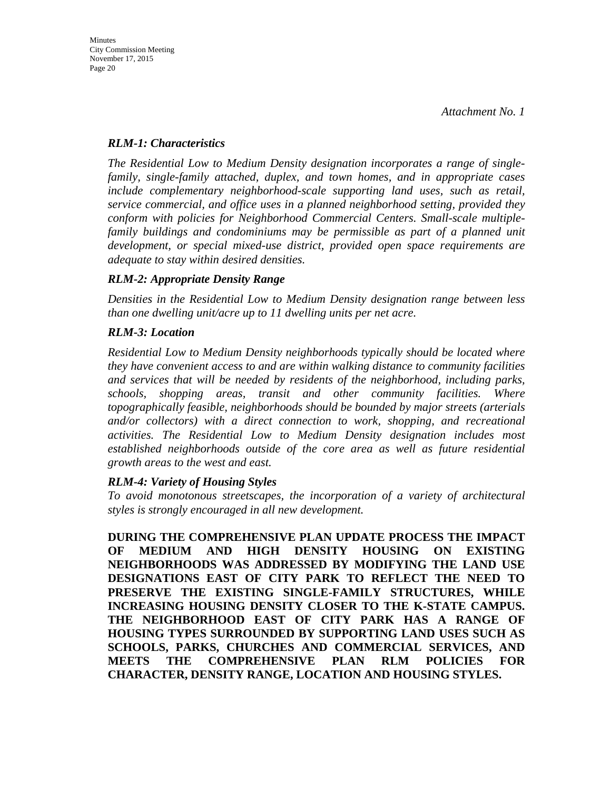### *RLM-1: Characteristics*

*The Residential Low to Medium Density designation incorporates a range of singlefamily, single-family attached, duplex, and town homes, and in appropriate cases include complementary neighborhood-scale supporting land uses, such as retail, service commercial, and office uses in a planned neighborhood setting, provided they conform with policies for Neighborhood Commercial Centers. Small-scale multiplefamily buildings and condominiums may be permissible as part of a planned unit development, or special mixed-use district, provided open space requirements are adequate to stay within desired densities.* 

## *RLM-2: Appropriate Density Range*

*Densities in the Residential Low to Medium Density designation range between less than one dwelling unit/acre up to 11 dwelling units per net acre.* 

### *RLM-3: Location*

*Residential Low to Medium Density neighborhoods typically should be located where they have convenient access to and are within walking distance to community facilities and services that will be needed by residents of the neighborhood, including parks, schools, shopping areas, transit and other community facilities. Where topographically feasible, neighborhoods should be bounded by major streets (arterials and/or collectors) with a direct connection to work, shopping, and recreational activities. The Residential Low to Medium Density designation includes most established neighborhoods outside of the core area as well as future residential growth areas to the west and east.* 

## *RLM-4: Variety of Housing Styles*

*To avoid monotonous streetscapes, the incorporation of a variety of architectural styles is strongly encouraged in all new development.* 

**DURING THE COMPREHENSIVE PLAN UPDATE PROCESS THE IMPACT OF MEDIUM AND HIGH DENSITY HOUSING ON EXISTING NEIGHBORHOODS WAS ADDRESSED BY MODIFYING THE LAND USE DESIGNATIONS EAST OF CITY PARK TO REFLECT THE NEED TO PRESERVE THE EXISTING SINGLE-FAMILY STRUCTURES, WHILE INCREASING HOUSING DENSITY CLOSER TO THE K-STATE CAMPUS. THE NEIGHBORHOOD EAST OF CITY PARK HAS A RANGE OF HOUSING TYPES SURROUNDED BY SUPPORTING LAND USES SUCH AS SCHOOLS, PARKS, CHURCHES AND COMMERCIAL SERVICES, AND MEETS THE COMPREHENSIVE PLAN RLM POLICIES FOR CHARACTER, DENSITY RANGE, LOCATION AND HOUSING STYLES.**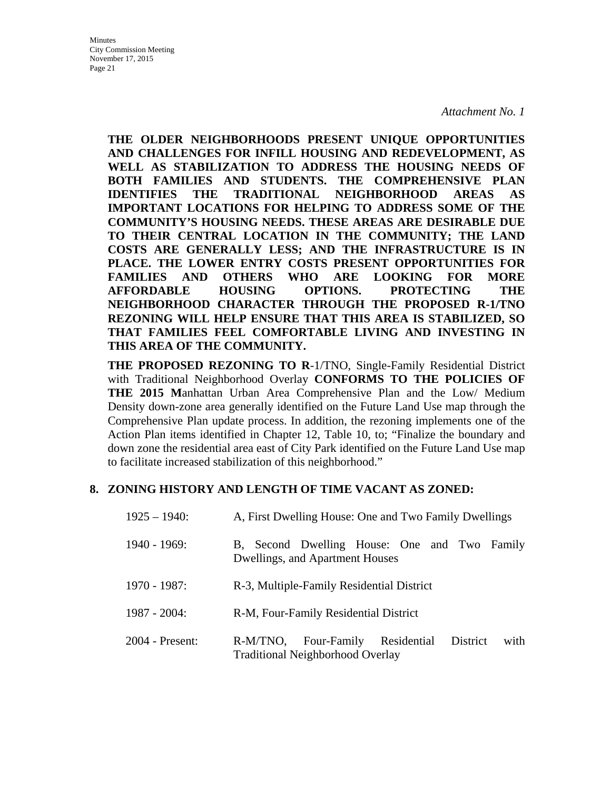**THE OLDER NEIGHBORHOODS PRESENT UNIQUE OPPORTUNITIES AND CHALLENGES FOR INFILL HOUSING AND REDEVELOPMENT, AS WELL AS STABILIZATION TO ADDRESS THE HOUSING NEEDS OF BOTH FAMILIES AND STUDENTS. THE COMPREHENSIVE PLAN IDENTIFIES THE TRADITIONAL NEIGHBORHOOD AREAS AS IMPORTANT LOCATIONS FOR HELPING TO ADDRESS SOME OF THE COMMUNITY'S HOUSING NEEDS. THESE AREAS ARE DESIRABLE DUE TO THEIR CENTRAL LOCATION IN THE COMMUNITY; THE LAND COSTS ARE GENERALLY LESS; AND THE INFRASTRUCTURE IS IN PLACE. THE LOWER ENTRY COSTS PRESENT OPPORTUNITIES FOR FAMILIES AND OTHERS WHO ARE LOOKING FOR MORE AFFORDABLE HOUSING OPTIONS. PROTECTING THE NEIGHBORHOOD CHARACTER THROUGH THE PROPOSED R-1/TNO REZONING WILL HELP ENSURE THAT THIS AREA IS STABILIZED, SO THAT FAMILIES FEEL COMFORTABLE LIVING AND INVESTING IN THIS AREA OF THE COMMUNITY.** 

**THE PROPOSED REZONING TO R**-1/TNO, Single-Family Residential District with Traditional Neighborhood Overlay **CONFORMS TO THE POLICIES OF THE 2015 M**anhattan Urban Area Comprehensive Plan and the Low/ Medium Density down-zone area generally identified on the Future Land Use map through the Comprehensive Plan update process. In addition, the rezoning implements one of the Action Plan items identified in Chapter 12, Table 10, to; "Finalize the boundary and down zone the residential area east of City Park identified on the Future Land Use map to facilitate increased stabilization of this neighborhood."

## **8. ZONING HISTORY AND LENGTH OF TIME VACANT AS ZONED:**

| $1925 - 1940$ : | A, First Dwelling House: One and Two Family Dwellings                                              |
|-----------------|----------------------------------------------------------------------------------------------------|
| $1940 - 1969$ : | B, Second Dwelling House: One and Two Family<br>Dwellings, and Apartment Houses                    |
| 1970 - 1987:    | R-3, Multiple-Family Residential District                                                          |
| $1987 - 2004$ : | R-M, Four-Family Residential District                                                              |
| 2004 - Present: | with<br>R-M/TNO,<br>Four-Family Residential<br>District<br><b>Traditional Neighborhood Overlay</b> |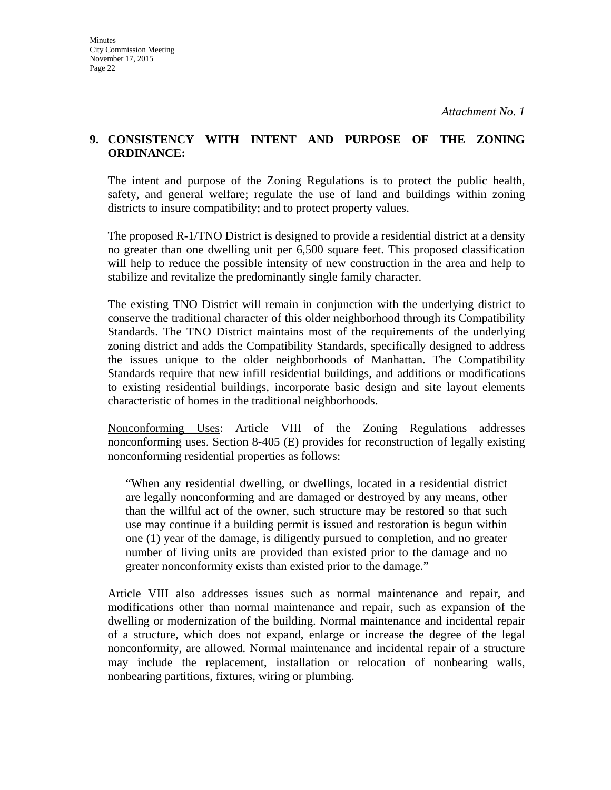### **9. CONSISTENCY WITH INTENT AND PURPOSE OF THE ZONING ORDINANCE:**

The intent and purpose of the Zoning Regulations is to protect the public health, safety, and general welfare; regulate the use of land and buildings within zoning districts to insure compatibility; and to protect property values.

The proposed R-1/TNO District is designed to provide a residential district at a density no greater than one dwelling unit per 6,500 square feet. This proposed classification will help to reduce the possible intensity of new construction in the area and help to stabilize and revitalize the predominantly single family character.

The existing TNO District will remain in conjunction with the underlying district to conserve the traditional character of this older neighborhood through its Compatibility Standards. The TNO District maintains most of the requirements of the underlying zoning district and adds the Compatibility Standards, specifically designed to address the issues unique to the older neighborhoods of Manhattan. The Compatibility Standards require that new infill residential buildings, and additions or modifications to existing residential buildings, incorporate basic design and site layout elements characteristic of homes in the traditional neighborhoods.

Nonconforming Uses: Article VIII of the Zoning Regulations addresses nonconforming uses. Section 8-405 (E) provides for reconstruction of legally existing nonconforming residential properties as follows:

"When any residential dwelling, or dwellings, located in a residential district are legally nonconforming and are damaged or destroyed by any means, other than the willful act of the owner, such structure may be restored so that such use may continue if a building permit is issued and restoration is begun within one (1) year of the damage, is diligently pursued to completion, and no greater number of living units are provided than existed prior to the damage and no greater nonconformity exists than existed prior to the damage."

Article VIII also addresses issues such as normal maintenance and repair, and modifications other than normal maintenance and repair, such as expansion of the dwelling or modernization of the building. Normal maintenance and incidental repair of a structure, which does not expand, enlarge or increase the degree of the legal nonconformity, are allowed. Normal maintenance and incidental repair of a structure may include the replacement, installation or relocation of nonbearing walls, nonbearing partitions, fixtures, wiring or plumbing.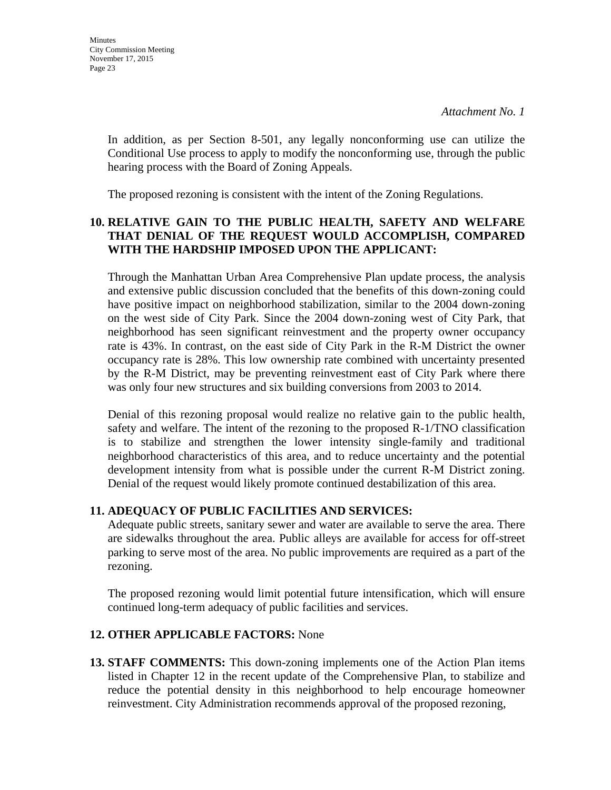In addition, as per Section 8-501, any legally nonconforming use can utilize the Conditional Use process to apply to modify the nonconforming use, through the public hearing process with the Board of Zoning Appeals.

The proposed rezoning is consistent with the intent of the Zoning Regulations.

## **10. RELATIVE GAIN TO THE PUBLIC HEALTH, SAFETY AND WELFARE THAT DENIAL OF THE REQUEST WOULD ACCOMPLISH, COMPARED WITH THE HARDSHIP IMPOSED UPON THE APPLICANT:**

Through the Manhattan Urban Area Comprehensive Plan update process, the analysis and extensive public discussion concluded that the benefits of this down-zoning could have positive impact on neighborhood stabilization, similar to the 2004 down-zoning on the west side of City Park. Since the 2004 down-zoning west of City Park, that neighborhood has seen significant reinvestment and the property owner occupancy rate is 43%. In contrast, on the east side of City Park in the R-M District the owner occupancy rate is 28%. This low ownership rate combined with uncertainty presented by the R-M District, may be preventing reinvestment east of City Park where there was only four new structures and six building conversions from 2003 to 2014.

Denial of this rezoning proposal would realize no relative gain to the public health, safety and welfare. The intent of the rezoning to the proposed R-1/TNO classification is to stabilize and strengthen the lower intensity single-family and traditional neighborhood characteristics of this area, and to reduce uncertainty and the potential development intensity from what is possible under the current R-M District zoning. Denial of the request would likely promote continued destabilization of this area.

## **11. ADEQUACY OF PUBLIC FACILITIES AND SERVICES:**

Adequate public streets, sanitary sewer and water are available to serve the area. There are sidewalks throughout the area. Public alleys are available for access for off-street parking to serve most of the area. No public improvements are required as a part of the rezoning.

The proposed rezoning would limit potential future intensification, which will ensure continued long-term adequacy of public facilities and services.

## **12. OTHER APPLICABLE FACTORS:** None

**13. STAFF COMMENTS:** This down-zoning implements one of the Action Plan items listed in Chapter 12 in the recent update of the Comprehensive Plan, to stabilize and reduce the potential density in this neighborhood to help encourage homeowner reinvestment. City Administration recommends approval of the proposed rezoning,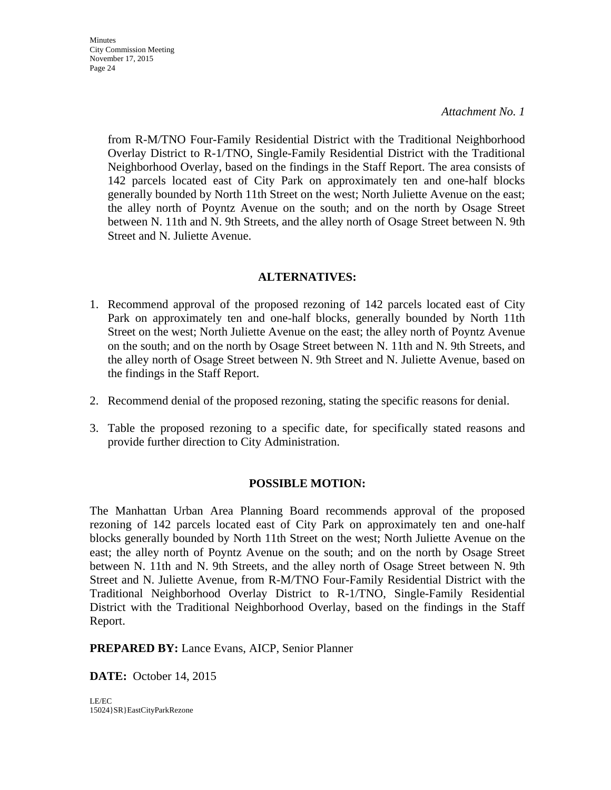**Minutes** City Commission Meeting November 17, 2015 Page 24

### *Attachment No. 1*

from R-M/TNO Four-Family Residential District with the Traditional Neighborhood Overlay District to R-1/TNO, Single-Family Residential District with the Traditional Neighborhood Overlay, based on the findings in the Staff Report. The area consists of 142 parcels located east of City Park on approximately ten and one-half blocks generally bounded by North 11th Street on the west; North Juliette Avenue on the east; the alley north of Poyntz Avenue on the south; and on the north by Osage Street between N. 11th and N. 9th Streets, and the alley north of Osage Street between N. 9th Street and N. Juliette Avenue.

## **ALTERNATIVES:**

- 1. Recommend approval of the proposed rezoning of 142 parcels located east of City Park on approximately ten and one-half blocks, generally bounded by North 11th Street on the west; North Juliette Avenue on the east; the alley north of Poyntz Avenue on the south; and on the north by Osage Street between N. 11th and N. 9th Streets, and the alley north of Osage Street between N. 9th Street and N. Juliette Avenue, based on the findings in the Staff Report.
- 2. Recommend denial of the proposed rezoning, stating the specific reasons for denial.
- 3. Table the proposed rezoning to a specific date, for specifically stated reasons and provide further direction to City Administration.

### **POSSIBLE MOTION:**

The Manhattan Urban Area Planning Board recommends approval of the proposed rezoning of 142 parcels located east of City Park on approximately ten and one-half blocks generally bounded by North 11th Street on the west; North Juliette Avenue on the east; the alley north of Poyntz Avenue on the south; and on the north by Osage Street between N. 11th and N. 9th Streets, and the alley north of Osage Street between N. 9th Street and N. Juliette Avenue, from R-M/TNO Four-Family Residential District with the Traditional Neighborhood Overlay District to R-1/TNO, Single-Family Residential District with the Traditional Neighborhood Overlay, based on the findings in the Staff Report.

**PREPARED BY:** Lance Evans, AICP, Senior Planner

**DATE:** October 14, 2015

LE/EC 15024}SR}EastCityParkRezone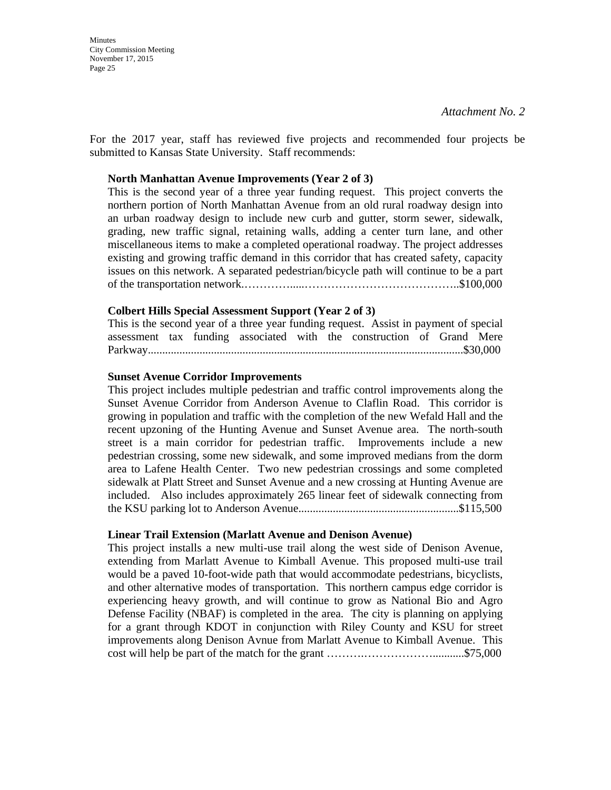**Minutes** City Commission Meeting November 17, 2015 Page 25

For the 2017 year, staff has reviewed five projects and recommended four projects be submitted to Kansas State University. Staff recommends:

#### **North Manhattan Avenue Improvements (Year 2 of 3)**

This is the second year of a three year funding request. This project converts the northern portion of North Manhattan Avenue from an old rural roadway design into an urban roadway design to include new curb and gutter, storm sewer, sidewalk, grading, new traffic signal, retaining walls, adding a center turn lane, and other miscellaneous items to make a completed operational roadway. The project addresses existing and growing traffic demand in this corridor that has created safety, capacity issues on this network. A separated pedestrian/bicycle path will continue to be a part of the transportation network.………….....…………………………………..\$100,000

#### **Colbert Hills Special Assessment Support (Year 2 of 3)**

This is the second year of a three year funding request. Assist in payment of special assessment tax funding associated with the construction of Grand Mere Parkway..............................................................................................................\$30,000

#### **Sunset Avenue Corridor Improvements**

This project includes multiple pedestrian and traffic control improvements along the Sunset Avenue Corridor from Anderson Avenue to Claflin Road. This corridor is growing in population and traffic with the completion of the new Wefald Hall and the recent upzoning of the Hunting Avenue and Sunset Avenue area. The north-south street is a main corridor for pedestrian traffic. Improvements include a new pedestrian crossing, some new sidewalk, and some improved medians from the dorm area to Lafene Health Center. Two new pedestrian crossings and some completed sidewalk at Platt Street and Sunset Avenue and a new crossing at Hunting Avenue are included. Also includes approximately 265 linear feet of sidewalk connecting from the KSU parking lot to Anderson Avenue........................................................\$115,500

#### **Linear Trail Extension (Marlatt Avenue and Denison Avenue)**

This project installs a new multi-use trail along the west side of Denison Avenue, extending from Marlatt Avenue to Kimball Avenue. This proposed multi-use trail would be a paved 10-foot-wide path that would accommodate pedestrians, bicyclists, and other alternative modes of transportation. This northern campus edge corridor is experiencing heavy growth, and will continue to grow as National Bio and Agro Defense Facility (NBAF) is completed in the area. The city is planning on applying for a grant through KDOT in conjunction with Riley County and KSU for street improvements along Denison Avnue from Marlatt Avenue to Kimball Avenue. This cost will help be part of the match for the grant ……….………………...........\$75,000